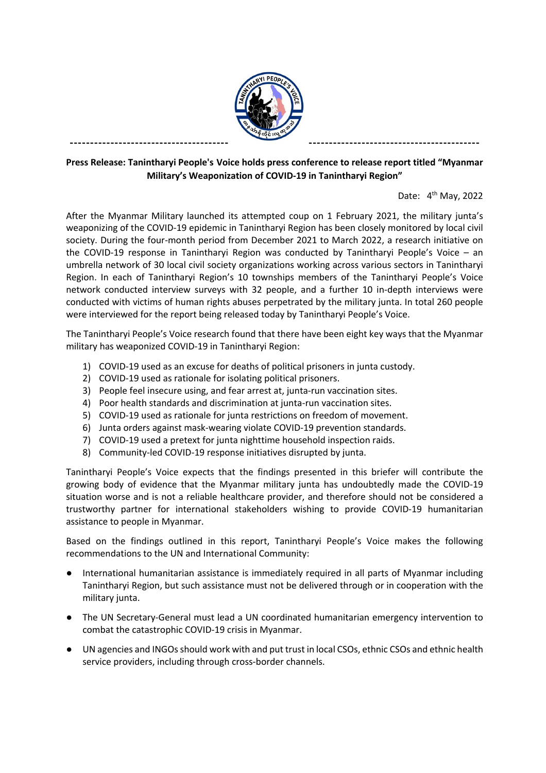

## **Press Release: Tanintharyi People's Voice holds press conference to release report titled "Myanmar Military's Weaponization of COVID-19 in Tanintharyi Region"**

Date:  $4<sup>th</sup>$  May, 2022

After the Myanmar Military launched its attempted coup on 1 February 2021, the military junta's weaponizing of the COVID-19 epidemic in Tanintharyi Region has been closely monitored by local civil society. During the four-month period from December 2021 to March 2022, a research initiative on the COVID-19 response in Tanintharyi Region was conducted by Tanintharyi People's Voice – an umbrella network of 30 local civil society organizations working across various sectors in Tanintharyi Region. In each of Tanintharyi Region's 10 townships members of the Tanintharyi People's Voice network conducted interview surveys with 32 people, and a further 10 in-depth interviews were conducted with victims of human rights abuses perpetrated by the military junta. In total 260 people were interviewed for the report being released today by Tanintharyi People's Voice.

The Tanintharyi People's Voice research found that there have been eight key ways that the Myanmar military has weaponized COVID-19 in Tanintharyi Region:

- 1) COVID-19 used as an excuse for deaths of political prisoners in junta custody.
- 2) COVID-19 used as rationale for isolating political prisoners.
- 3) People feel insecure using, and fear arrest at, junta-run vaccination sites.
- 4) Poor health standards and discrimination at junta-run vaccination sites.
- 5) COVID-19 used as rationale for junta restrictions on freedom of movement.
- 6) Junta orders against mask-wearing violate COVID-19 prevention standards.
- 7) COVID-19 used a pretext for junta nighttime household inspection raids.
- 8) Community-led COVID-19 response initiatives disrupted by junta.

Tanintharyi People's Voice expects that the findings presented in this briefer will contribute the growing body of evidence that the Myanmar military junta has undoubtedly made the COVID-19 situation worse and is not a reliable healthcare provider, and therefore should not be considered a trustworthy partner for international stakeholders wishing to provide COVID-19 humanitarian assistance to people in Myanmar.

Based on the findings outlined in this report, Tanintharyi People's Voice makes the following recommendations to the UN and International Community:

- International humanitarian assistance is immediately required in all parts of Myanmar including Tanintharyi Region, but such assistance must not be delivered through or in cooperation with the military junta.
- The UN Secretary-General must lead a UN coordinated humanitarian emergency intervention to combat the catastrophic COVID-19 crisis in Myanmar.
- UN agencies and INGOs should work with and put trust in local CSOs, ethnic CSOs and ethnic health service providers, including through cross-border channels.